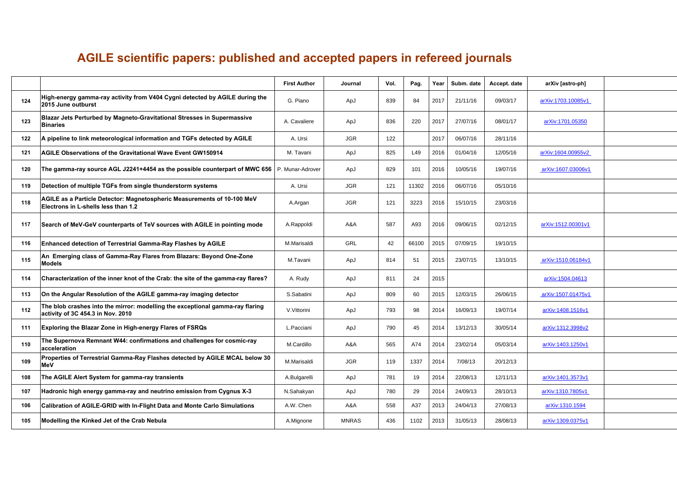## **AGILE scientific papers: published and accepted papers in refereed journals**

|     |                                                                                                                    | <b>First Author</b> | Journal      | Vol. | Pag.  | Year | Subm. date | Accept. date | arXiv [astro-ph]   |  |
|-----|--------------------------------------------------------------------------------------------------------------------|---------------------|--------------|------|-------|------|------------|--------------|--------------------|--|
| 124 | High-energy gamma-ray activity from V404 Cygni detected by AGILE during the<br>2015 June outburst                  | G. Piano            | ApJ          | 839  | 84    | 2017 | 21/11/16   | 09/03/17     | arXiv:1703.10085v1 |  |
| 123 | Blazar Jets Perturbed by Magneto-Gravitational Stresses in Supermassive<br><b>Binaries</b>                         | A. Cavaliere        | ApJ          | 836  | 220   | 2017 | 27/07/16   | 08/01/17     | arXiv:1701.05350   |  |
| 122 | A pipeline to link meteorological information and TGFs detected by AGILE                                           | A. Ursi             | <b>JGR</b>   | 122  |       | 2017 | 06/07/16   | 28/11/16     |                    |  |
| 121 | <b>AGILE Observations of the Gravitational Wave Event GW150914</b>                                                 | M. Tavani           | ApJ          | 825  | L49   | 2016 | 01/04/16   | 12/05/16     | arXiv:1604.00955v2 |  |
| 120 | The gamma-ray source AGL J2241+4454 as the possible counterpart of MWC 656   P. Munar-Adrover                      |                     | ApJ          | 829  | 101   | 2016 | 10/05/16   | 19/07/16     | arXiv:1607.03006v1 |  |
| 119 | Detection of multiple TGFs from single thunderstorm systems                                                        | A. Ursi             | <b>JGR</b>   | 121  | 11302 | 2016 | 06/07/16   | 05/10/16     |                    |  |
| 118 | AGILE as a Particle Detector: Magnetospheric Measurements of 10-100 MeV<br>Electrons in L-shells less than 1.2     | A.Argan             | <b>JGR</b>   | 121  | 3223  | 2016 | 15/10/15   | 23/03/16     |                    |  |
| 117 | Search of MeV-GeV counterparts of TeV sources with AGILE in pointing mode                                          | A.Rappoldi          | A&A          | 587  | A93   | 2016 | 09/06/15   | 02/12/15     | arXiv:1512.00301v1 |  |
| 116 | Enhanced detection of Terrestrial Gamma-Ray Flashes by AGILE                                                       | M.Marisaldi         | <b>GRL</b>   | 42   | 66100 | 2015 | 07/09/15   | 19/10/15     |                    |  |
| 115 | An  Emerging class of Gamma-Ray Flares from Blazars: Beyond One-Zone<br><b>Models</b>                              | M.Tavani            | ApJ          | 814  | 51    | 2015 | 23/07/15   | 13/10/15     | arXiv:1510.06184v1 |  |
| 114 | Characterization of the inner knot of the Crab: the site of the gamma-ray flares?                                  | A. Rudy             | ApJ          | 811  | 24    | 2015 |            |              | arXiv:1504.04613   |  |
| 113 | On the Angular Resolution of the AGILE gamma-ray imaging detector                                                  | S.Sabatini          | ApJ          | 809  | 60    | 2015 | 12/03/15   | 26/06/15     | arXiv:1507.01475v1 |  |
| 112 | The blob crashes into the mirror: modelling the exceptional gamma-ray flaring<br>activity of 3C 454.3 in Nov. 2010 | V.Vittorini         | ApJ          | 793  | 98    | 2014 | 16/09/13   | 19/07/14     | arXiv:1408.1516v1  |  |
| 111 | Exploring the Blazar Zone in High-energy Flares of FSRQs                                                           | L.Pacciani          | ApJ          | 790  | 45    | 2014 | 13/12/13   | 30/05/14     | arXiv:1312.3998v2  |  |
| 110 | The Supernova Remnant W44: confirmations and challenges for cosmic-ray<br>acceleration                             | M.Cardillo          | A&A          | 565  | A74   | 2014 | 23/02/14   | 05/03/14     | arXiv:1403.1250v1  |  |
| 109 | Properties of Terrestrial Gamma-Ray Flashes detected by AGILE MCAL below 30<br>MeV                                 | M.Marisaldi         | <b>JGR</b>   | 119  | 1337  | 2014 | 7/08/13    | 20/12/13     |                    |  |
| 108 | The AGILE Alert System for gamma-ray transients                                                                    | A.Bulgarelli        | ApJ          | 781  | 19    | 2014 | 22/08/13   | 12/11/13     | arXiv:1401.3573v1  |  |
| 107 | Hadronic high energy gamma-ray and neutrino emission from Cygnus X-3                                               | N.Sahakyan          | ApJ          | 780  | 29    | 2014 | 24/09/13   | 28/10/13     | arXiv:1310.7805v1  |  |
| 106 | Calibration of AGILE-GRID with In-Flight Data and Monte Carlo Simulations                                          | A.W. Chen           | A&A          | 558  | A37   | 2013 | 24/04/13   | 27/08/13     | arXiv:1310.1594    |  |
| 105 | Modelling the Kinked Jet of the Crab Nebula                                                                        | A.Mignone           | <b>MNRAS</b> | 436  | 1102  | 2013 | 31/05/13   | 28/08/13     | arXiv:1309.0375v1  |  |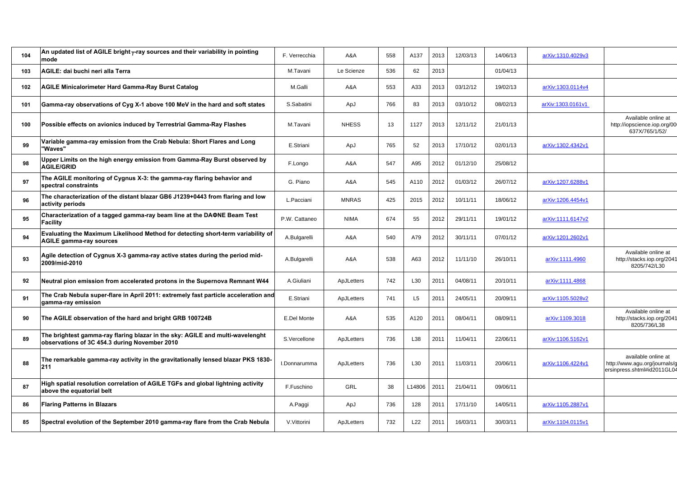| 104 | An updated list of AGILE bright y-ray sources and their variability in pointing<br>mode                                        | F. Verrecchia | A&A          | 558 | A137           | 2013 | 12/03/13 | 14/06/13 | arXiv:1310.4029v3 |                                                                                     |
|-----|--------------------------------------------------------------------------------------------------------------------------------|---------------|--------------|-----|----------------|------|----------|----------|-------------------|-------------------------------------------------------------------------------------|
| 103 | AGILE: dai buchi neri alla Terra                                                                                               | M.Tavani      | Le Scienze   | 536 | 62             | 2013 |          | 01/04/13 |                   |                                                                                     |
| 102 | <b>AGILE Minicalorimeter Hard Gamma-Ray Burst Catalog</b>                                                                      | M.Galli       | A&A          | 553 | A33            | 2013 | 03/12/12 | 19/02/13 | arXiv:1303.0114v4 |                                                                                     |
| 101 | Gamma-ray observations of Cyg X-1 above 100 MeV in the hard and soft states                                                    | S.Sabatini    | ApJ          | 766 | 83             | 2013 | 03/10/12 | 08/02/13 | arXiv:1303.0161v1 |                                                                                     |
| 100 | Possible effects on avionics induced by Terrestrial Gamma-Ray Flashes                                                          | M.Tavani      | <b>NHESS</b> | 13  | 1127           | 2013 | 12/11/12 | 21/01/13 |                   | Available online at<br>http://iopscience.iop.org/00<br>637X/765/1/52/               |
| 99  | Variable gamma-ray emission from the Crab Nebula: Short Flares and Long<br>"Waves"                                             | E.Striani     | ApJ          | 765 | 52             | 2013 | 17/10/12 | 02/01/13 | arXiv:1302.4342v1 |                                                                                     |
| 98  | Upper Limits on the high energy emission from Gamma-Ray Burst observed by<br><b>AGILE/GRID</b>                                 | F.Longo       | A&A          | 547 | A95            | 2012 | 01/12/10 | 25/08/12 |                   |                                                                                     |
| 97  | The AGILE monitoring of Cygnus X-3: the gamma-ray flaring behavior and<br>spectral constraints                                 | G. Piano      | A&A          | 545 | A110           | 2012 | 01/03/12 | 26/07/12 | arXiv:1207.6288v1 |                                                                                     |
| 96  | The characterization of the distant blazar GB6 J1239+0443 from flaring and low<br>activity periods                             | L.Pacciani    | <b>MNRAS</b> | 425 | 2015           | 2012 | 10/11/11 | 18/06/12 | arXiv:1206.4454v1 |                                                                                     |
| 95  | Characterization of a tagged gamma-ray beam line at the DAΦNE Beam Test<br>Facility                                            | P.W. Cattaneo | <b>NIMA</b>  | 674 | 55             | 2012 | 29/11/11 | 19/01/12 | arXiv:1111.6147v2 |                                                                                     |
| 94  | Evaluating the Maximum Likelihood Method for detecting short-term variability of<br><b>AGILE gamma-ray sources</b>             | A.Bulgarelli  | A&A          | 540 | A79            | 2012 | 30/11/11 | 07/01/12 | arXiv:1201.2602v1 |                                                                                     |
| 93  | Agile detection of Cygnus X-3 gamma-ray active states during the period mid-<br>2009/mid-2010                                  | A.Bulgarelli  | A&A          | 538 | A63            | 2012 | 11/11/10 | 26/10/11 | arXiv:1111.4960   | Available online at<br>http://stacks.iop.org/2041<br>8205/742/L30                   |
| 92  | Neutral pion emission from accelerated protons in the Supernova Remnant W44                                                    | A.Giuliani    | ApJLetters   | 742 | L30            | 2011 | 04/08/11 | 20/10/11 | arXiv:1111.4868   |                                                                                     |
| 91  | The Crab Nebula super-flare in April 2011: extremely fast particle acceleration and<br>gamma-ray emission                      | E.Striani     | ApJLetters   | 741 | L <sub>5</sub> | 2011 | 24/05/11 | 20/09/11 | arXiv:1105.5028v2 |                                                                                     |
| 90  | The AGILE observation of the hard and bright GRB 100724B                                                                       | E.Del Monte   | A&A          | 535 | A120           | 2011 | 08/04/11 | 08/09/11 | arXiv:1109.3018   | Available online at<br>http://stacks.iop.org/2041<br>8205/736/L38                   |
| 89  | The brightest gamma-ray flaring blazar in the sky: AGILE and multi-wavelenght<br>observations of 3C 454.3 during November 2010 | S.Vercellone  | ApJLetters   | 736 | L38            | 2011 | 11/04/11 | 22/06/11 | arXiv:1106.5162v1 |                                                                                     |
| 88  | The remarkable gamma-ray activity in the gravitationally lensed blazar PKS 1830-<br>211                                        | I.Donnarumma  | ApJLetters   | 736 | L30            | 2011 | 11/03/11 | 20/06/11 | arXiv:1106.4224v1 | available online at<br>http://www.agu.org/journals/g<br>ersinpress.shtml#id2011GL04 |
| 87  | High spatial resolution correlation of AGILE TGFs and global lightning activity<br>above the equatorial belt                   | F.Fuschino    | GRL          | 38  | L14806         | 2011 | 21/04/11 | 09/06/11 |                   |                                                                                     |
| 86  | <b>Flaring Patterns in Blazars</b>                                                                                             | A.Paggi       | ApJ          | 736 | 128            | 2011 | 17/11/10 | 14/05/11 | arXiv:1105.2887v1 |                                                                                     |
| 85  | Spectral evolution of the September 2010 gamma-ray flare from the Crab Nebula                                                  | V.Vittorini   | ApJLetters   | 732 | L22            | 2011 | 16/03/11 | 30/03/11 | arXiv:1104.0115v1 |                                                                                     |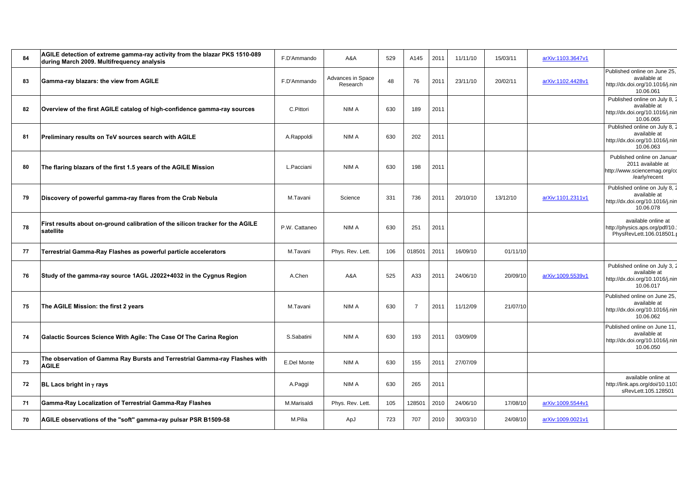| 84 | AGILE detection of extreme gamma-ray activity from the blazar PKS 1510-089<br>during March 2009. Multifrequency analysis | F.D'Ammando   | A&A                           | 529 | A145           | 2011 | 11/11/10 | 15/03/11 | arXiv:1103.3647v1 |                                                                                                  |
|----|--------------------------------------------------------------------------------------------------------------------------|---------------|-------------------------------|-----|----------------|------|----------|----------|-------------------|--------------------------------------------------------------------------------------------------|
| 83 | Gamma-ray blazars: the view from AGILE                                                                                   | F.D'Ammando   | Advances in Space<br>Research | 48  | 76             | 2011 | 23/11/10 | 20/02/11 | arXiv:1102.4428v1 | Published online on June 25,<br>available at<br>http://dx.doi.org/10.1016/j.nin<br>10.06.061     |
| 82 | Overview of the first AGILE catalog of high-confidence gamma-ray sources                                                 | C.Pittori     | NIM A                         | 630 | 189            | 2011 |          |          |                   | Published online on July 8, 2<br>available at<br>http://dx.doi.org/10.1016/j.nin<br>10.06.065    |
| 81 | Preliminary results on TeV sources search with AGILE                                                                     | A.Rappoldi    | NIM A                         | 630 | 202            | 2011 |          |          |                   | Published online on July 8, 2<br>available at<br>http://dx.doi.org/10.1016/j.nin<br>10.06.063    |
| 80 | The flaring blazars of the first 1.5 years of the AGILE Mission                                                          | L.Pacciani    | NIM A                         | 630 | 198            | 2011 |          |          |                   | Published online on Januar<br>2011 available at<br>http://www.sciencemag.org/cc<br>/early/recent |
| 79 | Discovery of powerful gamma-ray flares from the Crab Nebula                                                              | M.Tavani      | Science                       | 331 | 736            | 2011 | 20/10/10 | 13/12/10 | arXiv:1101.2311v1 | Published online on July 8, 2<br>available at<br>http://dx.doi.org/10.1016/j.nin<br>10.06.078    |
| 78 | First results about on-ground calibration of the silicon tracker for the AGILE<br>satellite                              | P.W. Cattaneo | NIM A                         | 630 | 251            | 2011 |          |          |                   | available online at<br>http://physics.aps.org/pdf/10.1<br>PhysRevLett.106.018501.p               |
| 77 | Terrestrial Gamma-Ray Flashes as powerful particle accelerators                                                          | M.Tavani      | Phys. Rev. Lett.              | 106 | 018501         | 2011 | 16/09/10 | 01/11/10 |                   |                                                                                                  |
| 76 | Study of the gamma-ray source 1AGL J2022+4032 in the Cygnus Region                                                       | A.Chen        | A&A                           | 525 | A33            | 2011 | 24/06/10 | 20/09/10 | arXiv:1009.5539v1 | Published online on July 3, 2<br>available at<br>http://dx.doi.org/10.1016/j.nin<br>10.06.017    |
| 75 | The AGILE Mission: the first 2 years                                                                                     | M.Tavani      | NIM A                         | 630 | $\overline{7}$ | 2011 | 11/12/09 | 21/07/10 |                   | Published online on June 25,<br>available at<br>http://dx.doi.org/10.1016/j.nin<br>10.06.062     |
| 74 | Galactic Sources Science With Agile: The Case Of The Carina Region                                                       | S.Sabatini    | NIM A                         | 630 | 193            | 2011 | 03/09/09 |          |                   | Published online on June 11,<br>available at<br>http://dx.doi.org/10.1016/j.nin<br>10.06.050     |
| 73 | The observation of Gamma Ray Bursts and Terrestrial Gamma-ray Flashes with<br><b>AGILE</b>                               | E.Del Monte   | NIM A                         | 630 | 155            | 2011 | 27/07/09 |          |                   |                                                                                                  |
| 72 | BL Lacs bright in $\gamma$ rays                                                                                          | A.Paggi       | NIM A                         | 630 | 265            | 2011 |          |          |                   | available online at<br>http://link.aps.org/doi/10.1103<br>sRevLett.105.128501                    |
| 71 | Gamma-Ray Localization of Terrestrial Gamma-Ray Flashes                                                                  | M.Marisaldi   | Phys. Rev. Lett.              | 105 | 128501         | 2010 | 24/06/10 | 17/08/10 | arXiv:1009.5544v1 |                                                                                                  |
| 70 | AGILE observations of the "soft" gamma-ray pulsar PSR B1509-58                                                           | M.Pilia       | ApJ                           | 723 | 707            | 2010 | 30/03/10 | 24/08/10 | arXiv:1009.0021v1 |                                                                                                  |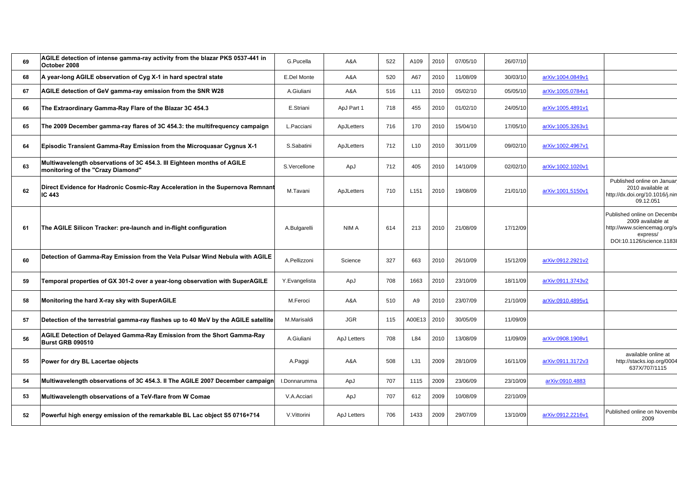| 69 | AGILE detection of intense gamma-ray activity from the blazar PKS 0537-441 in<br>October 2008               | G.Pucella          | A&A         | 522 | A109   | 2010 | 07/05/10 | 26/07/10 |                   |                                                                                                                           |
|----|-------------------------------------------------------------------------------------------------------------|--------------------|-------------|-----|--------|------|----------|----------|-------------------|---------------------------------------------------------------------------------------------------------------------------|
| 68 | A year-long AGILE observation of Cyg X-1 in hard spectral state                                             | <b>E.Del Monte</b> | A&A         | 520 | A67    | 2010 | 11/08/09 | 30/03/10 | arXiv:1004.0849v1 |                                                                                                                           |
| 67 | AGILE detection of GeV gamma-ray emission from the SNR W28                                                  | A.Giuliani         | A&A         | 516 | L11    | 2010 | 05/02/10 | 05/05/10 | arXiv:1005.0784v1 |                                                                                                                           |
| 66 | The Extraordinary Gamma-Ray Flare of the Blazar 3C 454.3                                                    | E.Striani          | ApJ Part 1  | 718 | 455    | 2010 | 01/02/10 | 24/05/10 | arXiv:1005.4891v1 |                                                                                                                           |
| 65 | The 2009 December gamma-ray flares of 3C 454.3: the multifrequency campaign                                 | L.Pacciani         | ApJLetters  | 716 | 170    | 2010 | 15/04/10 | 17/05/10 | arXiv:1005.3263v1 |                                                                                                                           |
| 64 | <b>Episodic Transient Gamma-Ray Emission from the Microquasar Cygnus X-1</b>                                | S.Sabatini         | ApJLetters  | 712 | L10    | 2010 | 30/11/09 | 09/02/10 | arXiv:1002.4967v1 |                                                                                                                           |
| 63 | Multiwavelength observations of 3C 454.3. III Eighteen months of AGILE<br>monitoring of the "Crazy Diamond" | S.Vercellone       | ApJ         | 712 | 405    | 2010 | 14/10/09 | 02/02/10 | arXiv:1002.1020v1 |                                                                                                                           |
| 62 | Direct Evidence for Hadronic Cosmic-Ray Acceleration in the Supernova Remnant<br>IC 443                     | M.Tavani           | ApJLetters  | 710 | L151   | 2010 | 19/08/09 | 21/01/10 | arXiv:1001.5150v1 | Published online on Januar<br>2010 available at<br>http://dx.doi.org/10.1016/j.nim<br>09.12.051                           |
| 61 | The AGILE Silicon Tracker: pre-launch and in-flight configuration                                           | A.Bulgarelli       | NIM A       | 614 | 213    | 2010 | 21/08/09 | 17/12/09 |                   | Published online on Decembe<br>2009 available at<br>http://www.sciencemag.org/so<br>express/<br>DOI:10.1126/science.11838 |
| 60 | Detection of Gamma-Ray Emission from the Vela Pulsar Wind Nebula with AGILE                                 | A.Pellizzoni       | Science     | 327 | 663    | 2010 | 26/10/09 | 15/12/09 | arXiv:0912.2921v2 |                                                                                                                           |
| 59 | Temporal properties of GX 301-2 over a year-long observation with SuperAGILE                                | Y.Evangelista      | ApJ         | 708 | 1663   | 2010 | 23/10/09 | 18/11/09 | arXiv:0911.3743v2 |                                                                                                                           |
| 58 | Monitoring the hard X-ray sky with SuperAGILE                                                               | M.Feroci           | A&A         | 510 | A9     | 2010 | 23/07/09 | 21/10/09 | arXiv:0910.4895v1 |                                                                                                                           |
| 57 | Detection of the terrestrial gamma-ray flashes up to 40 MeV by the AGILE satellite                          | M.Marisaldi        | <b>JGR</b>  | 115 | A00E13 | 2010 | 30/05/09 | 11/09/09 |                   |                                                                                                                           |
| 56 | AGILE Detection of Delayed Gamma-Ray Emission from the Short Gamma-Ray<br><b>Burst GRB 090510</b>           | A.Giuliani         | ApJ Letters | 708 | L84    | 2010 | 13/08/09 | 11/09/09 | arXiv:0908.1908v1 |                                                                                                                           |
| 55 | Power for dry BL Lacertae objects                                                                           | A.Paggi            | A&A         | 508 | L31    | 2009 | 28/10/09 | 16/11/09 | arXiv:0911.3172v3 | available online at<br>http://stacks.iop.org/0004<br>637X/707/1115                                                        |
| 54 | Multiwavelength observations of 3C 454.3. II The AGILE 2007 December campaign                               | I.Donnarumma       | ApJ         | 707 | 1115   | 2009 | 23/06/09 | 23/10/09 | arXiv:0910.4883   |                                                                                                                           |
| 53 | Multiwavelength observations of a TeV-flare from W Comae                                                    | V.A.Acciari        | ApJ         | 707 | 612    | 2009 | 10/08/09 | 22/10/09 |                   |                                                                                                                           |
| 52 | Powerful high energy emission of the remarkable BL Lac object S5 0716+714                                   | V.Vittorini        | ApJ Letters | 706 | 1433   | 2009 | 29/07/09 | 13/10/09 | arXiv:0912.2216v1 | Published online on Novembe<br>2009                                                                                       |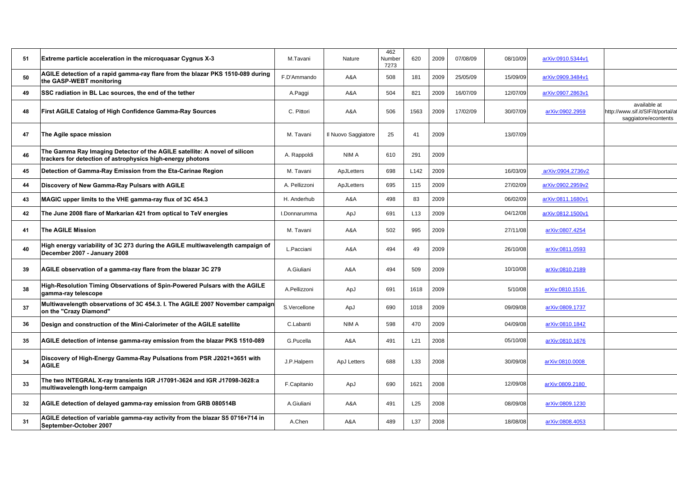| 51 | Extreme particle acceleration in the microquasar Cygnus X-3                                                                             | M.Tavani      | Nature              | 462<br>Number<br>7273 | 620  | 2009 | 07/08/09 | 08/10/09 | arXiv:0910.5344v1 |                                                                            |
|----|-----------------------------------------------------------------------------------------------------------------------------------------|---------------|---------------------|-----------------------|------|------|----------|----------|-------------------|----------------------------------------------------------------------------|
| 50 | AGILE detection of a rapid gamma-ray flare from the blazar PKS 1510-089 during<br>the GASP-WEBT monitoring                              | F.D'Ammando   | A&A                 | 508                   | 181  | 2009 | 25/05/09 | 15/09/09 | arXiv:0909.3484v1 |                                                                            |
| 49 | SSC radiation in BL Lac sources, the end of the tether                                                                                  | A.Paggi       | A&A                 | 504                   | 821  | 2009 | 16/07/09 | 12/07/09 | arXiv:0907.2863v1 |                                                                            |
| 48 | First AGILE Catalog of High Confidence Gamma-Ray Sources                                                                                | C. Pittori    | A&A                 | 506                   | 1563 | 2009 | 17/02/09 | 30/07/09 | arXiv:0902.2959   | available at<br>http://www.sif.it/SIF/it/portal/at<br>saggiatore/econtents |
| 47 | The Agile space mission                                                                                                                 | M. Tavani     | Il Nuovo Saggiatore | 25                    | 41   | 2009 |          | 13/07/09 |                   |                                                                            |
| 46 | The Gamma Ray Imaging Detector of the AGILE satellite: A novel of silicon<br>trackers for detection of astrophysics high-energy photons | A. Rappoldi   | NIM A               | 610                   | 291  | 2009 |          |          |                   |                                                                            |
| 45 | Detection of Gamma-Ray Emission from the Eta-Carinae Region                                                                             | M. Tavani     | ApJLetters          | 698                   | L142 | 2009 |          | 16/03/09 | arXiv:0904.2736v2 |                                                                            |
| 44 | Discovery of New Gamma-Ray Pulsars with AGILE                                                                                           | A. Pellizzoni | ApJLetters          | 695                   | 115  | 2009 |          | 27/02/09 | arXiv:0902.2959v2 |                                                                            |
| 43 | MAGIC upper limits to the VHE gamma-ray flux of 3C 454.3                                                                                | H. Anderhub   | A&A                 | 498                   | 83   | 2009 |          | 06/02/09 | arXiv:0811.1680v1 |                                                                            |
| 42 | The June 2008 flare of Markarian 421 from optical to TeV energies                                                                       | I.Donnarumma  | ApJ                 | 691                   | L13  | 2009 |          | 04/12/08 | arXiv:0812.1500v1 |                                                                            |
| 41 | <b>The AGILE Mission</b>                                                                                                                | M. Tavani     | A&A                 | 502                   | 995  | 2009 |          | 27/11/08 | arXiv:0807.4254   |                                                                            |
| 40 | High energy variability of 3C 273 during the AGILE multiwavelength campaign of<br>December 2007 - January 2008                          | L.Pacciani    | A&A                 | 494                   | 49   | 2009 |          | 26/10/08 | arXiv:0811.0593   |                                                                            |
| 39 | AGILE observation of a gamma-ray flare from the blazar 3C 279                                                                           | A.Giuliani    | A&A                 | 494                   | 509  | 2009 |          | 10/10/08 | arXiv:0810.2189   |                                                                            |
| 38 | High-Resolution Timing Observations of Spin-Powered Pulsars with the AGILE<br>gamma-ray telescope                                       | A.Pellizzoni  | ApJ                 | 691                   | 1618 | 2009 |          | 5/10/08  | arXiv:0810.1516   |                                                                            |
| 37 | Multiwavelength observations of 3C 454.3. I. The AGILE 2007 November campaign<br>on the "Crazy Diamond"                                 | S.Vercellone  | ApJ                 | 690                   | 1018 | 2009 |          | 09/09/08 | arXiv:0809.1737   |                                                                            |
| 36 | Design and construction of the Mini-Calorimeter of the AGILE satellite                                                                  | C.Labanti     | NIM A               | 598                   | 470  | 2009 |          | 04/09/08 | arXiv:0810.1842   |                                                                            |
| 35 | AGILE detection of intense gamma-ray emission from the blazar PKS 1510-089                                                              | G.Pucella     | A&A                 | 491                   | L21  | 2008 |          | 05/10/08 | arXiv:0810.1676   |                                                                            |
| 34 | Discovery of High-Energy Gamma-Ray Pulsations from PSR J2021+3651 with<br><b>AGILE</b>                                                  | J.P.Halpern   | <b>ApJ Letters</b>  | 688                   | L33  | 2008 |          | 30/09/08 | arXiv:0810.0008   |                                                                            |
| 33 | The two INTEGRAL X-ray transients IGR J17091-3624 and IGR J17098-3628:a<br>multiwavelength long-term campaign                           | F.Capitanio   | ApJ                 | 690                   | 1621 | 2008 |          | 12/09/08 | arXiv:0809.2180   |                                                                            |
| 32 | AGILE detection of delayed gamma-ray emission from GRB 080514B                                                                          | A.Giuliani    | A&A                 | 491                   | L25  | 2008 |          | 08/09/08 | arXiv:0809.1230   |                                                                            |
| 31 | AGILE detection of variable gamma-ray activity from the blazar S5 0716+714 in<br>September-October 2007                                 | A.Chen        | A&A                 | 489                   | L37  | 2008 |          | 18/08/08 | arXiv:0808.4053   |                                                                            |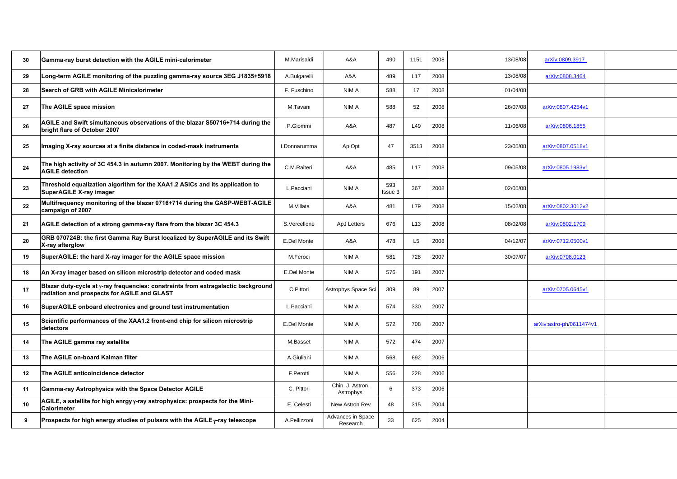| 30 | Gamma-ray burst detection with the AGILE mini-calorimeter                                                                        | M.Marisaldi  | A&A                                  | 490            | 1151            | 2008 | 13/08/08 | arXiv:0809.3917          |  |
|----|----------------------------------------------------------------------------------------------------------------------------------|--------------|--------------------------------------|----------------|-----------------|------|----------|--------------------------|--|
| 29 | Long-term AGILE monitoring of the puzzling gamma-ray source 3EG J1835+5918                                                       | A.Bulgarelli | A&A                                  | 489            | L17             | 2008 | 13/08/08 | arXiv:0808.3464          |  |
| 28 | Search of GRB with AGILE Minicalorimeter                                                                                         | F. Fuschino  | NIM A                                | 588            | 17              | 2008 | 01/04/08 |                          |  |
| 27 | The AGILE space mission                                                                                                          | M.Tavani     | NIM A                                | 588            | 52              | 2008 | 26/07/08 | arXiv:0807.4254v1        |  |
| 26 | AGILE and Swift simultaneous observations of the blazar S50716+714 during the<br>bright flare of October 2007                    | P.Giommi     | A&A                                  | 487            | L49             | 2008 | 11/06/08 | arXiv:0806.1855          |  |
| 25 | Imaging X-ray sources at a finite distance in coded-mask instruments                                                             | I.Donnarumma | Ap Opt                               | 47             | 3513            | 2008 | 23/05/08 | arXiv:0807.0518v1        |  |
| 24 | The high activity of 3C 454.3 in autumn 2007. Monitoring by the WEBT during the<br><b>AGILE detection</b>                        | C.M.Raiteri  | A&A                                  | 485            | L <sub>17</sub> | 2008 | 09/05/08 | arXiv:0805.1983v1        |  |
| 23 | Threshold equalization algorithm for the XAA1.2 ASICs and its application to<br>SuperAGILE X-ray imager                          | L.Pacciani   | NIM A                                | 593<br>Issue 3 | 367             | 2008 | 02/05/08 |                          |  |
| 22 | Multifrequency monitoring of the blazar 0716+714 during the GASP-WEBT-AGILE<br>campaign of 2007                                  | M.Villata    | A&A                                  | 481            | L79             | 2008 | 15/02/08 | arXiv:0802.3012v2        |  |
| 21 | AGILE detection of a strong gamma-ray flare from the blazar 3C 454.3                                                             | S.Vercellone | ApJ Letters                          | 676            | L <sub>13</sub> | 2008 | 08/02/08 | arXiv:0802.1709          |  |
| 20 | GRB 070724B: the first Gamma Ray Burst localized by SuperAGILE and its Swift<br>X-ray afterglow                                  | E.Del Monte  | A&A                                  | 478            | L <sub>5</sub>  | 2008 | 04/12/07 | arXiv:0712.0500v1        |  |
| 19 | SuperAGILE: the hard X-ray imager for the AGILE space mission                                                                    | M.Feroci     | NIM A                                | 581            | 728             | 2007 | 30/07/07 | arXiv:0708.0123          |  |
| 18 | An X-ray imager based on silicon microstrip detector and coded mask                                                              | E.Del Monte  | NIM A                                | 576            | 191             | 2007 |          |                          |  |
| 17 | Blazar duty-cycle at y-ray frequencies: constraints from extragalactic background<br>radiation and prospects for AGILE and GLAST | C.Pittori    | Astrophys Space Sci                  | 309            | 89              | 2007 |          | arXiv:0705.0645v1        |  |
| 16 | SuperAGILE onboard electronics and ground test instrumentation                                                                   | L.Pacciani   | NIM A                                | 574            | 330             | 2007 |          |                          |  |
| 15 | Scientific performances of the XAA1.2 front-end chip for silicon microstrip<br>detectors                                         | E.Del Monte  | NIM A                                | 572            | 708             | 2007 |          | arXiv:astro-ph/0611474v1 |  |
| 14 | The AGILE gamma ray satellite                                                                                                    | M.Basset     | NIM A                                | 572            | 474             | 2007 |          |                          |  |
| 13 | The AGILE on-board Kalman filter                                                                                                 | A.Giuliani   | NIM A                                | 568            | 692             | 2006 |          |                          |  |
| 12 | The AGILE anticoincidence detector                                                                                               | F.Perotti    | NIM A                                | 556            | 228             | 2006 |          |                          |  |
| 11 | Gamma-ray Astrophysics with the Space Detector AGILE                                                                             | C. Pittori   | Chin. J. Astron.<br>Astrophys.       | 6              | 373             | 2006 |          |                          |  |
| 10 | AGILE, a satellite for high enrgy y-ray astrophysics: prospects for the Mini-<br>Calorimeter                                     | E. Celesti   | New Astron Rev                       | 48             | 315             | 2004 |          |                          |  |
| 9  | Prospects for high energy studies of pulsars with the AGILE $\gamma$ -ray telescope                                              | A.Pellizzoni | <b>Advances in Space</b><br>Research | 33             | 625             | 2004 |          |                          |  |